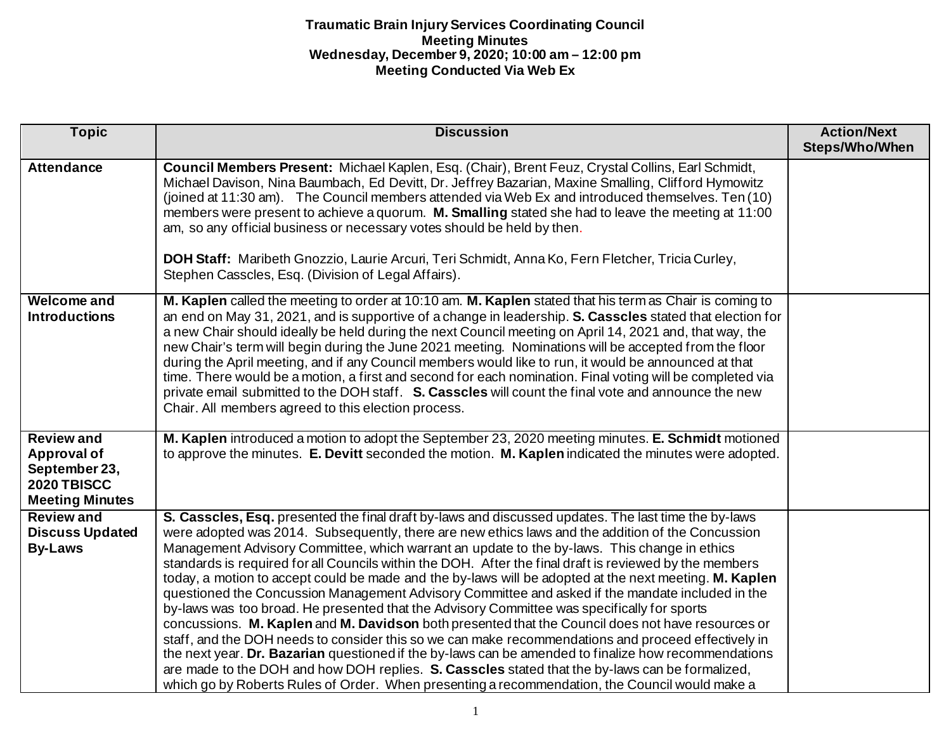|                                                                                                   |                                                                                                                                                                                                                                                                                                                                                                                                                                                                                                                                                                                                                                                                                                                                                                                                                                                                                                                                                                                                                                                                                                                                                                                                                                                            | <b>Action/Next</b>    |
|---------------------------------------------------------------------------------------------------|------------------------------------------------------------------------------------------------------------------------------------------------------------------------------------------------------------------------------------------------------------------------------------------------------------------------------------------------------------------------------------------------------------------------------------------------------------------------------------------------------------------------------------------------------------------------------------------------------------------------------------------------------------------------------------------------------------------------------------------------------------------------------------------------------------------------------------------------------------------------------------------------------------------------------------------------------------------------------------------------------------------------------------------------------------------------------------------------------------------------------------------------------------------------------------------------------------------------------------------------------------|-----------------------|
| <b>Topic</b>                                                                                      | <b>Discussion</b>                                                                                                                                                                                                                                                                                                                                                                                                                                                                                                                                                                                                                                                                                                                                                                                                                                                                                                                                                                                                                                                                                                                                                                                                                                          | <b>Steps/Who/When</b> |
| <b>Attendance</b>                                                                                 | Council Members Present: Michael Kaplen, Esq. (Chair), Brent Feuz, Crystal Collins, Earl Schmidt,<br>Michael Davison, Nina Baumbach, Ed Devitt, Dr. Jeffrey Bazarian, Maxine Smalling, Clifford Hymowitz<br>(joined at 11:30 am). The Council members attended via Web Ex and introduced themselves. Ten (10)<br>members were present to achieve a quorum. M. Smalling stated she had to leave the meeting at 11:00<br>am, so any official business or necessary votes should be held by then.<br>DOH Staff: Maribeth Gnozzio, Laurie Arcuri, Teri Schmidt, Anna Ko, Fern Fletcher, Tricia Curley,<br>Stephen Casscles, Esq. (Division of Legal Affairs).                                                                                                                                                                                                                                                                                                                                                                                                                                                                                                                                                                                                  |                       |
| <b>Welcome and</b><br><b>Introductions</b>                                                        | M. Kaplen called the meeting to order at 10:10 am. M. Kaplen stated that his term as Chair is coming to<br>an end on May 31, 2021, and is supportive of a change in leadership. S. Casscles stated that election for<br>a new Chair should ideally be held during the next Council meeting on April 14, 2021 and, that way, the<br>new Chair's term will begin during the June 2021 meeting. Nominations will be accepted from the floor<br>during the April meeting, and if any Council members would like to run, it would be announced at that<br>time. There would be a motion, a first and second for each nomination. Final voting will be completed via<br>private email submitted to the DOH staff. S. Casscles will count the final vote and announce the new<br>Chair. All members agreed to this election process.                                                                                                                                                                                                                                                                                                                                                                                                                              |                       |
| <b>Review and</b><br><b>Approval of</b><br>September 23,<br>2020 TBISCC<br><b>Meeting Minutes</b> | M. Kaplen introduced a motion to adopt the September 23, 2020 meeting minutes. E. Schmidt motioned<br>to approve the minutes. E. Devitt seconded the motion. M. Kaplen indicated the minutes were adopted.                                                                                                                                                                                                                                                                                                                                                                                                                                                                                                                                                                                                                                                                                                                                                                                                                                                                                                                                                                                                                                                 |                       |
| <b>Review and</b><br><b>Discuss Updated</b><br><b>By-Laws</b>                                     | S. Casscles, Esq. presented the final draft by-laws and discussed updates. The last time the by-laws<br>were adopted was 2014. Subsequently, there are new ethics laws and the addition of the Concussion<br>Management Advisory Committee, which warrant an update to the by-laws. This change in ethics<br>standards is required for all Councils within the DOH. After the final draft is reviewed by the members<br>today, a motion to accept could be made and the by-laws will be adopted at the next meeting. M. Kaplen<br>questioned the Concussion Management Advisory Committee and asked if the mandate included in the<br>by-laws was too broad. He presented that the Advisory Committee was specifically for sports<br>concussions. M. Kaplen and M. Davidson both presented that the Council does not have resources or<br>staff, and the DOH needs to consider this so we can make recommendations and proceed effectively in<br>the next year. Dr. Bazarian questioned if the by-laws can be amended to finalize how recommendations<br>are made to the DOH and how DOH replies. S. Casscles stated that the by-laws can be formalized,<br>which go by Roberts Rules of Order. When presenting a recommendation, the Council would make a |                       |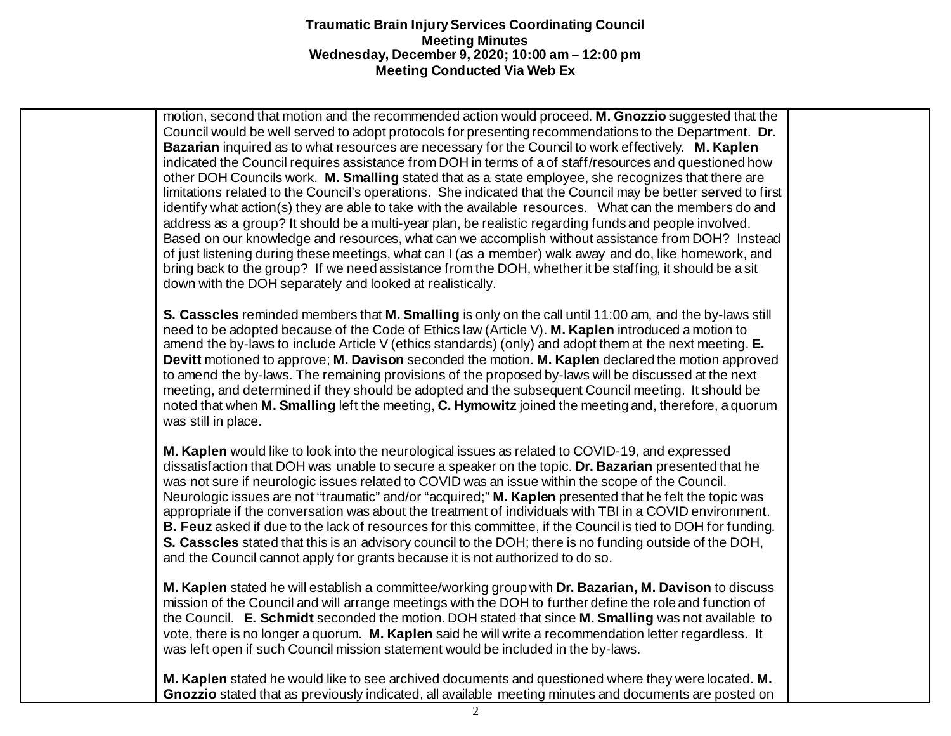motion, second that motion and the recommended action would proceed. **M. Gnozzio** suggested that the Council would be well served to adopt protocols for presenting recommendations to the Department. **Dr. Bazarian** inquired as to what resources are necessary for the Council to work effectively. **M. Kaplen** indicated the Council requires assistance from DOH in terms of a of staff/resources and questioned how other DOH Councils work. **M. Smalling** stated that as a state employee, she recognizes that there are limitations related to the Council's operations. She indicated that the Council may be better served to first identify what action(s) they are able to take with the available resources. What can the members do and address as a group? It should be a multi-year plan, be realistic regarding funds and people involved. Based on our knowledge and resources, what can we accomplish without assistance from DOH? Instead of just listening during these meetings, what can I (as a member) walk away and do, like homework, and bring back to the group? If we need assistance from the DOH, whether it be staffing, it should be a sit down with the DOH separately and looked at realistically.

**S. Casscles** reminded members that **M. Smalling** is only on the call until 11:00 am, and the by-laws still need to be adopted because of the Code of Ethics law (Article V). **M. Kaplen** introduced a motion to amend the by-laws to include Article V (ethics standards) (only) and adopt them at the next meeting. **E. Devitt** motioned to approve; **M. Davison** seconded the motion. **M. Kaplen** declared the motion approved to amend the by-laws. The remaining provisions of the proposed by-laws will be discussed at the next meeting, and determined if they should be adopted and the subsequent Council meeting. It should be noted that when **M. Smalling** left the meeting, **C. Hymowitz** joined the meeting and, therefore, a quorum was still in place.

**M. Kaplen** would like to look into the neurological issues as related to COVID-19, and expressed dissatisfaction that DOH was unable to secure a speaker on the topic. **Dr. Bazarian** presented that he was not sure if neurologic issues related to COVID was an issue within the scope of the Council. Neurologic issues are not "traumatic" and/or "acquired;" **M. Kaplen** presented that he felt the topic was appropriate if the conversation was about the treatment of individuals with TBI in a COVID environment. **B. Feuz** asked if due to the lack of resources for this committee, if the Council is tied to DOH for funding. **S. Casscles** stated that this is an advisory council to the DOH; there is no funding outside of the DOH, and the Council cannot apply for grants because it is not authorized to do so.

**M. Kaplen** stated he will establish a committee/working group with **Dr. Bazarian, M. Davison** to discuss mission of the Council and will arrange meetings with the DOH to further define the role and function of the Council. **E. Schmidt** seconded the motion. DOH stated that since **M. Smalling** was not available to vote, there is no longer a quorum. **M. Kaplen** said he will write a recommendation letter regardless. It was left open if such Council mission statement would be included in the by-laws.

**M. Kaplen** stated he would like to see archived documents and questioned where they were located. **M. Gnozzio** stated that as previously indicated, all available meeting minutes and documents are posted on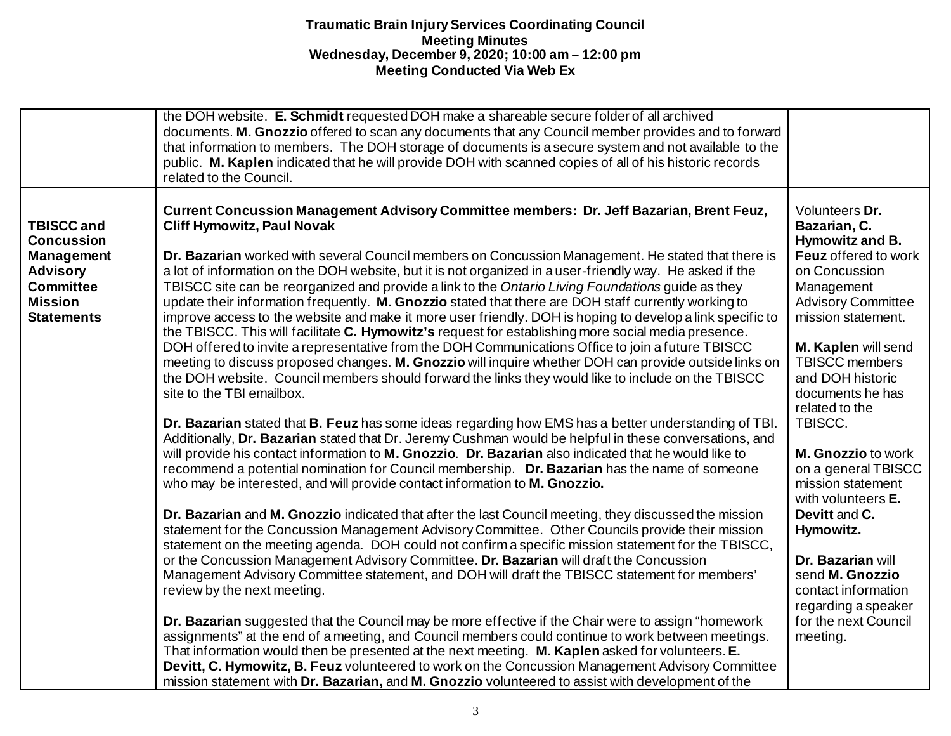|                                                                                                                                           | the DOH website. E. Schmidt requested DOH make a shareable secure folder of all archived<br>documents. M. Gnozzio offered to scan any documents that any Council member provides and to forward<br>that information to members. The DOH storage of documents is a secure system and not available to the<br>public. M. Kaplen indicated that he will provide DOH with scanned copies of all of his historic records<br>related to the Council.                                                                                                                                                                                                                                                                                                                                                                                                                                                                                                                                                                                                                                                                                                                                                                                                                                                                                                                                                                                                                                                                                                                                                                                                                                                                                                                                                                                                                                                                                                                                                                                                                                                                                                                                                                                                                                                                                                                                                                                                                                                                                                                                                                                                                                                                       |                                                                                                                                                                                                                                                                                                                                                                                                                                                                                                                                  |
|-------------------------------------------------------------------------------------------------------------------------------------------|----------------------------------------------------------------------------------------------------------------------------------------------------------------------------------------------------------------------------------------------------------------------------------------------------------------------------------------------------------------------------------------------------------------------------------------------------------------------------------------------------------------------------------------------------------------------------------------------------------------------------------------------------------------------------------------------------------------------------------------------------------------------------------------------------------------------------------------------------------------------------------------------------------------------------------------------------------------------------------------------------------------------------------------------------------------------------------------------------------------------------------------------------------------------------------------------------------------------------------------------------------------------------------------------------------------------------------------------------------------------------------------------------------------------------------------------------------------------------------------------------------------------------------------------------------------------------------------------------------------------------------------------------------------------------------------------------------------------------------------------------------------------------------------------------------------------------------------------------------------------------------------------------------------------------------------------------------------------------------------------------------------------------------------------------------------------------------------------------------------------------------------------------------------------------------------------------------------------------------------------------------------------------------------------------------------------------------------------------------------------------------------------------------------------------------------------------------------------------------------------------------------------------------------------------------------------------------------------------------------------------------------------------------------------------------------------------------------------|----------------------------------------------------------------------------------------------------------------------------------------------------------------------------------------------------------------------------------------------------------------------------------------------------------------------------------------------------------------------------------------------------------------------------------------------------------------------------------------------------------------------------------|
| <b>TBISCC and</b><br><b>Concussion</b><br><b>Management</b><br><b>Advisory</b><br><b>Committee</b><br><b>Mission</b><br><b>Statements</b> | Current Concussion Management Advisory Committee members: Dr. Jeff Bazarian, Brent Feuz,<br><b>Cliff Hymowitz, Paul Novak</b><br>Dr. Bazarian worked with several Council members on Concussion Management. He stated that there is<br>a lot of information on the DOH website, but it is not organized in a user-friendly way. He asked if the<br>TBISCC site can be reorganized and provide a link to the Ontario Living Foundations quide as they<br>update their information frequently. M. Gnozzio stated that there are DOH staff currently working to<br>improve access to the website and make it more user friendly. DOH is hoping to develop a link specific to<br>the TBISCC. This will facilitate C. Hymowitz's request for establishing more social media presence.<br>DOH offered to invite a representative from the DOH Communications Office to join a future TBISCC<br>meeting to discuss proposed changes. M. Gnozzio will inquire whether DOH can provide outside links on<br>the DOH website. Council members should forward the links they would like to include on the TBISCC<br>site to the TBI emailbox.<br>Dr. Bazarian stated that B. Feuz has some ideas regarding how EMS has a better understanding of TBI.<br>Additionally, Dr. Bazarian stated that Dr. Jeremy Cushman would be helpful in these conversations, and<br>will provide his contact information to M. Gnozzio. Dr. Bazarian also indicated that he would like to<br>recommend a potential nomination for Council membership. Dr. Bazarian has the name of someone<br>who may be interested, and will provide contact information to M. Gnozzio.<br>Dr. Bazarian and M. Gnozzio indicated that after the last Council meeting, they discussed the mission<br>statement for the Concussion Management Advisory Committee. Other Councils provide their mission<br>statement on the meeting agenda. DOH could not confirm a specific mission statement for the TBISCC,<br>or the Concussion Management Advisory Committee. Dr. Bazarian will draft the Concussion<br>Management Advisory Committee statement, and DOH will draft the TBISCC statement for members'<br>review by the next meeting.<br>Dr. Bazarian suggested that the Council may be more effective if the Chair were to assign "homework<br>assignments" at the end of a meeting, and Council members could continue to work between meetings.<br>That information would then be presented at the next meeting. M. Kaplen asked for volunteers. E.<br>Devitt, C. Hymowitz, B. Feuz volunteered to work on the Concussion Management Advisory Committee<br>mission statement with Dr. Bazarian, and M. Gnozzio volunteered to assist with development of the | Volunteers Dr.<br>Bazarian, C.<br>Hymowitz and B.<br>Feuz offered to work<br>on Concussion<br>Management<br><b>Advisory Committee</b><br>mission statement.<br>M. Kaplen will send<br><b>TBISCC</b> members<br>and DOH historic<br>documents he has<br>related to the<br>TBISCC.<br>M. Gnozzio to work<br>on a general TBISCC<br>mission statement<br>with volunteers E.<br>Devitt and C.<br>Hymowitz.<br>Dr. Bazarian will<br>send M. Gnozzio<br>contact information<br>regarding a speaker<br>for the next Council<br>meeting. |